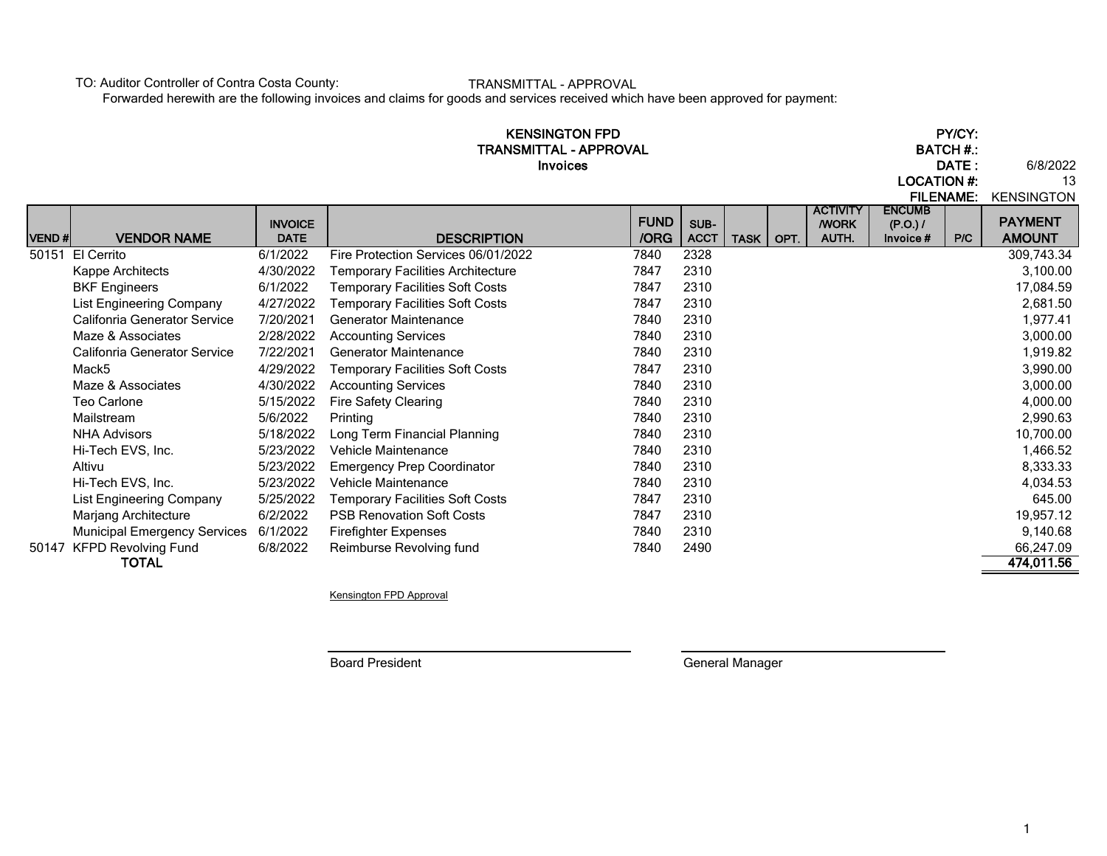TO: Auditor Controller of Contra Costa County:

TRANSMITTAL - APPROVAL

Forwarded herewith are the following invoices and claims for goods and services received which have been approved for payment:

|              |                                                          |                       | <b>KENSINGTON FPD</b><br>TRANSMITTAL - APPROVAL<br><b>Invoices</b>               |              |              |             |      |                                |                          | PY/CY:<br><b>BATCH#.:</b><br>DATE:<br><b>LOCATION #:</b> |                                     |  |
|--------------|----------------------------------------------------------|-----------------------|----------------------------------------------------------------------------------|--------------|--------------|-------------|------|--------------------------------|--------------------------|----------------------------------------------------------|-------------------------------------|--|
|              |                                                          | <b>INVOICE</b>        |                                                                                  | <b>FUND</b>  | SUB-         |             |      | <b>ACTIVITY</b><br><b>WORK</b> | <b>ENCUMB</b><br>(P.O.)/ | <b>FILENAME:</b>                                         | <b>KENSINGTON</b><br><b>PAYMENT</b> |  |
| <b>VEND#</b> | <b>VENDOR NAME</b>                                       | <b>DATE</b>           | <b>DESCRIPTION</b>                                                               | /ORG         | <b>ACCT</b>  | <b>TASK</b> | OPT. | <b>AUTH.</b>                   | Invoice #                | P/C                                                      | <b>AMOUNT</b>                       |  |
| 50151        | El Cerrito                                               | 6/1/2022              | Fire Protection Services 06/01/2022                                              | 7840         | 2328         |             |      |                                |                          |                                                          | 309,743.34                          |  |
|              | Kappe Architects                                         | 4/30/2022             | Temporary Facilities Architecture                                                | 7847         | 2310         |             |      |                                |                          |                                                          | 3,100.00                            |  |
|              | <b>BKF Engineers</b>                                     | 6/1/2022<br>4/27/2022 | <b>Temporary Facilities Soft Costs</b><br><b>Temporary Facilities Soft Costs</b> | 7847<br>7847 | 2310<br>2310 |             |      |                                |                          |                                                          | 17,084.59<br>2,681.50               |  |
|              | List Engineering Company<br>Califonria Generator Service | 7/20/2021             | <b>Generator Maintenance</b>                                                     | 7840         | 2310         |             |      |                                |                          |                                                          | 1,977.41                            |  |
|              | Maze & Associates                                        | 2/28/2022             | <b>Accounting Services</b>                                                       | 7840         | 2310         |             |      |                                |                          |                                                          | 3,000.00                            |  |
|              | Califonria Generator Service                             | 7/22/2021             | <b>Generator Maintenance</b>                                                     | 7840         | 2310         |             |      |                                |                          |                                                          | 1,919.82                            |  |
|              | Mack <sub>5</sub>                                        | 4/29/2022             | <b>Temporary Facilities Soft Costs</b>                                           | 7847         | 2310         |             |      |                                |                          |                                                          | 3,990.00                            |  |
|              | Maze & Associates                                        | 4/30/2022             | <b>Accounting Services</b>                                                       | 7840         | 2310         |             |      |                                |                          |                                                          | 3,000.00                            |  |
|              | <b>Teo Carlone</b>                                       | 5/15/2022             | <b>Fire Safety Clearing</b>                                                      | 7840         | 2310         |             |      |                                |                          |                                                          | 4,000.00                            |  |
|              | Mailstream                                               | 5/6/2022              | Printing                                                                         | 7840         | 2310         |             |      |                                |                          |                                                          | 2,990.63                            |  |
|              | <b>NHA Advisors</b>                                      | 5/18/2022             | Long Term Financial Planning                                                     | 7840         | 2310         |             |      |                                |                          |                                                          | 10,700.00                           |  |
|              | Hi-Tech EVS, Inc.                                        | 5/23/2022             | Vehicle Maintenance                                                              | 7840         | 2310         |             |      |                                |                          |                                                          | 1,466.52                            |  |
|              | Altivu                                                   | 5/23/2022             | <b>Emergency Prep Coordinator</b>                                                | 7840         | 2310         |             |      |                                |                          |                                                          | 8,333.33                            |  |
|              | Hi-Tech EVS, Inc.                                        | 5/23/2022             | <b>Vehicle Maintenance</b>                                                       | 7840         | 2310         |             |      |                                |                          |                                                          | 4,034.53                            |  |
|              | <b>List Engineering Company</b>                          | 5/25/2022             | <b>Temporary Facilities Soft Costs</b>                                           | 7847         | 2310         |             |      |                                |                          |                                                          | 645.00                              |  |
|              | Marjang Architecture                                     | 6/2/2022              | <b>PSB Renovation Soft Costs</b>                                                 | 7847         | 2310         |             |      |                                |                          |                                                          | 19,957.12                           |  |
|              | <b>Municipal Emergency Services</b>                      | 6/1/2022              | <b>Firefighter Expenses</b>                                                      | 7840         | 2310         |             |      |                                |                          |                                                          | 9,140.68                            |  |
|              | 50147 KFPD Revolving Fund                                | 6/8/2022              | Reimburse Revolving fund                                                         | 7840         | 2490         |             |      |                                |                          |                                                          | 66,247.09                           |  |
|              | <b>TOTAL</b>                                             |                       |                                                                                  |              |              |             |      |                                |                          |                                                          | 474,011.56                          |  |

Kensington FPD Approval

Board President General Manager